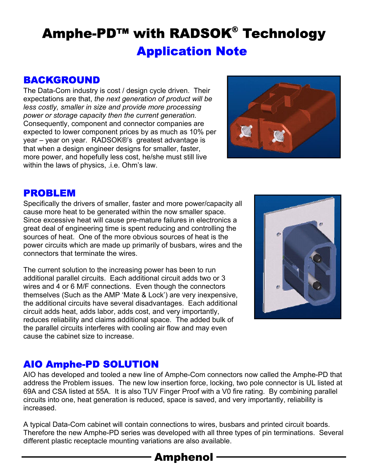# Amphe-PD™ with RADSOK® Technology Application Note

## BACKGROUND

The Data-Com industry is cost / design cycle driven. Their expectations are that, *the next generation of product will be less costly, smaller in size and provide more processing power or storage capacity then the current generation.*  Consequently, component and connector companies are expected to lower component prices by as much as 10% per year – year on year. RADSOK®'s greatest advantage is that when a design engineer designs for smaller, faster, more power, and hopefully less cost, he/she must still live within the laws of physics, .i.e. Ohm's law.



#### PROBLEM

Specifically the drivers of smaller, faster and more power/capacity all cause more heat to be generated within the now smaller space. Since excessive heat will cause pre-mature failures in electronics a great deal of engineering time is spent reducing and controlling the sources of heat. One of the more obvious sources of heat is the power circuits which are made up primarily of busbars, wires and the connectors that terminate the wires.

The current solution to the increasing power has been to run additional parallel circuits. Each additional circuit adds two or 3 wires and 4 or 6 M/F connections. Even though the connectors themselves (Such as the AMP 'Mate & Lock') are very inexpensive, the additional circuits have several disadvantages. Each additional circuit adds heat, adds labor, adds cost, and very importantly, reduces reliability and claims additional space. The added bulk of the parallel circuits interferes with cooling air flow and may even cause the cabinet size to increase.



# AIO Amphe-PD SOLUTION

AIO has developed and tooled a new line of Amphe-Com connectors now called the Amphe-PD that address the Problem issues. The new low insertion force, locking, two pole connector is UL listed at 69A and CSA listed at 55A. It is also TUV Finger Proof with a V0 fire rating. By combining parallel circuits into one, heat generation is reduced, space is saved, and very importantly, reliability is increased.

A typical Data-Com cabinet will contain connections to wires, busbars and printed circuit boards. Therefore the new Amphe-PD series was developed with all three types of pin terminations. Several different plastic receptacle mounting variations are also available.

Amphenol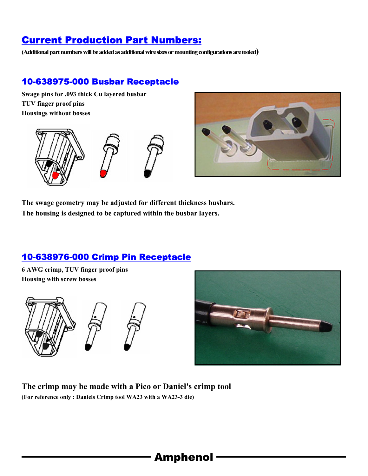# Current Production Part Numbers:

**(Additional part numbers will be added as additional wire sizes or mounting configurations are tooled)** 

#### 10-638975-000 Busbar Receptacle

**Swage pins for .093 thick Cu layered busbar TUV finger proof pins Housings without bosses** 





**The swage geometry may be adjusted for different thickness busbars. The housing is designed to be captured within the busbar layers.** 

#### 10-638976-000 Crimp Pin Receptacle

**6 AWG crimp, TUV finger proof pins Housing with screw bosses** 





**The crimp may be made with a Pico or Daniel's crimp tool (For reference only : Daniels Crimp tool WA23 with a WA23-3 die)**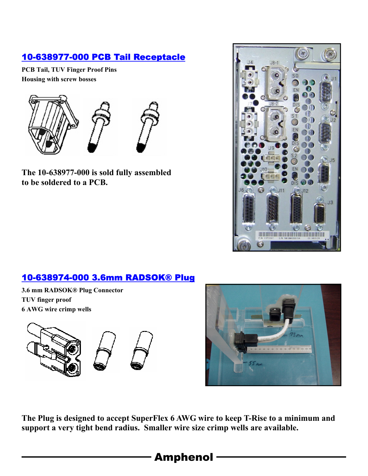## 10-638977-000 PCB Tail Receptacle

**PCB Tail, TUV Finger Proof Pins Housing with screw bosses** 



**The 10-638977-000 is sold fully assembled to be soldered to a PCB.** 



### 10-638974-000 3.6mm RADSOK® Plug

**3.6 mm RADSOK® Plug Connector TUV finger proof 6 AWG wire crimp wells** 





**The Plug is designed to accept SuperFlex 6 AWG wire to keep T-Rise to a minimum and support a very tight bend radius. Smaller wire size crimp wells are available.**